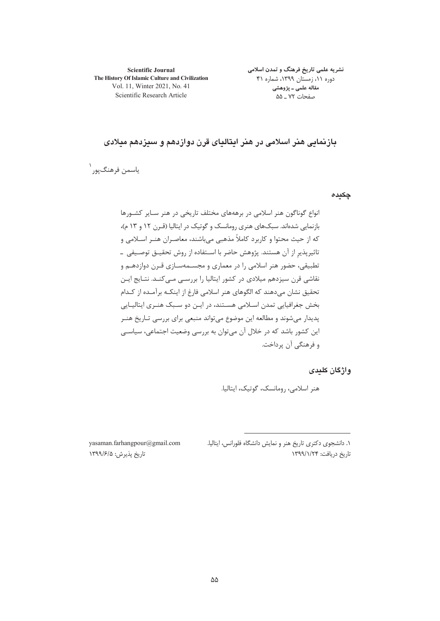**Scientific Journal** The History Of Islamic Culture and Civilization Vol. 11, Winter 2021, No. 41 Scientific Research Article

نشریه علمی تاریخ فرهنگ و تمدن اسلامی دوره ۱۱، زمستان ۱۳۹۹، شماره ۴۱ مقاله علمی ـ پژوهشی صفحات ۷۲ ـ ۵۵

بازنمائی هنر اسلامی در هنر ایتالیای قرن دوازدهم و سیزدهم میلادی

ياسمن فرهنگپور ۱

چکیدہ

انواع گوناگون هنر اسلامی در برهههای مختلف تاریخی در هنر سایر کشورها بازنمایی شدهاند. سبکهای هنری رومانسک و گوتیک در ایتالیا (قـرن ۱۲ و ۱۳ م)، که از حیث محتوا و کاربرد کاملاً مذهبی می باشند، معاصـران هنـر اسـلامی و تاثیرپذیر از آن هستند. پژوهش حاضر با اسـتفاده از روش تحقیــق توصــیفی ــ تطبیقی، حضور هنر اسلامی را در معماری و مجسـمهسـازی قـرن دوازدهـم و نقاشی قرن سیزدهم میلادی در کشور ایتالیا را بررسـی مـی کنـد. نتـایج ایـن تحقیق نشان میدهند که الگوهای هنر اسلامی فارغ از اینکـه برآمـده از کـدام بخش جغرافیایی تمدن اسـلامی هسـتند، در ایـن دو سـبک هنـری ایتالیـایی پدیدار می شوند و مطالعه این موضوع می تواند منبعی برای بررسی تـاریخ هنـر این کشور باشد که در خلال آن می توان به بررسی وضعیت اجتماعی، سیاسے و فرهنگی آن پرداخت.

## واژگان کلیدی

هنر اسلامی، رومانسک، گوتیک، ایتالیا.

١. دانشجوى دكترى تاريخ هنر و نمايش دانشگاه فلورانس، ايتاليا. تاریخ دریافت: ۱۳۹۹/۱/۲۴

yasaman.farhangpour@gmail.com تاريخ پذيرش: ١٣٩٩/٤/١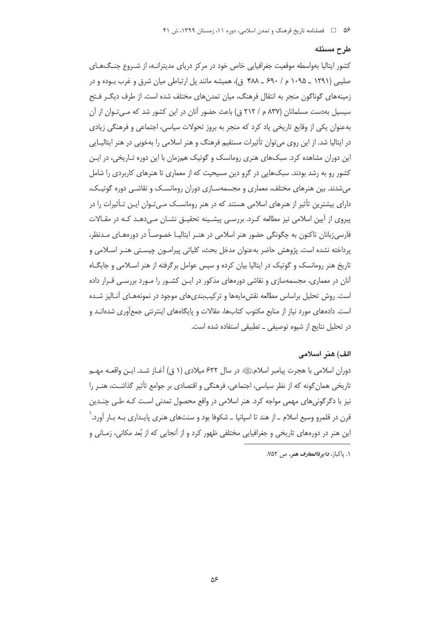#### طرح مسئله

کشور ایتالیا بهواسطه موقعیت جغرافیایی خاص خود در مرکز دریای مدیترانـه، از شـروع جنـگ۱هـای صلیبی (۱۲۹۱ \_ ۱۰۹۵ م / ۶۹۰ \_ ۴۸۸ ق)، همیشه مانند پل ارتباطی میان شرق و غرب بـوده و در زمینههای گوناگون منجر به انتقال فرهنگ، میان تمدنهای مختلف شده است. از طرف دیگ رفتح سیسیل بهدست مسلمانان (۸۳۷ م / ۲۱۲ ق) باعث حضور آنان در این کشور شد که مـی تـوان از آن بهعنوان یکی از وقایع تاریخی یاد کرد که منجر به بروز تحولات سیاسی، اجتماعی و فرهنگی زیادی در ایتالیا شد. از این روی می توان تأثیرات مستقیم فرهنگ و هنر اسلامی را بهخوبی در هنر ایتالیایی این دوران مشاهده کرد. سبکهای هنری رومانسک و گوتیک همزمان با این دوره تـاریخی، در ایـن کشور رو به رشد بودند. سبکهایی در گرو دین مسیحیت که از معماری تا هنرهای کاربردی را شامل میشدند. بین هنرهای مختلف، معماری و مجسمهسـازی دوران رومانسـک و نقاشـی دوره گوتیـک، دارای بیشترین تأثیر از هنرهای اسلامی هستند که در هنر رومانسـک مـی تـوان ایـن تـأثیرات را در پیروی از آیین اسلامی نیز مطالعه کـرد. بررسـی پیشـینه تحقیـق نشـان مـی،دهـد کـه در مقـالات فارسی;بانان تاکنون به چگونگی حضور هنر اسلامی در هنـر ایتالیـا خصوصـاً در دورههـای مـدنظر، يرداخته نشده است. پژوهش حاضر بهعنوان مدخل بحث، كلياتي پيرامـون چيسـتي هنـر اسـلامي و تاریخ هنر رومانسک و گوتیک در ایتالیا بیان کرده و سپس عوامل برگرفته از هنر اسـلامی و جایگـاه آنان در معماری، مجسمهسازی و نقاشی دورههای مذکور در ایـن کشـور را مـورد بررسـی قـرار داده است. روش تحلیل پراساس مطالعه نقش مایهها و ترکیب بندی های موجود در نمونههـای آنـالیز شـده است. دادههای مورد نیاز از منابع مکتوب کتابها، مقالات و پایگاههای اینترنتی جمعآوری شدهانـد و در تحليل نتايج از شيوه توصيفي \_ تطبيقي استفاده شده است.

### الف) هنر اسلامی

دوران اسلامی با هجرت پیامبر اسلامﷺ در سال ۶۲۲ میلادی (۱ ق) آغـاز شـد. ایــز، واقعــه مهــم تاریخی همان گونه که از نظر سیاسی، اجتماعی، فرهنگی و اقتصادی بر جوامع تأثیر گذاشت، هنـر را نیز با دگرگونیهای مهمی مواجه کرد. هنر اسلامی در واقع محصول تمدنی است کـه طـی چنـدین قرن در قلمرو وسیع اسلام \_ از هند تا اسپانیا \_ شکوفا بود و سنتهای هنری پایـداری بـه بـار آورد. ٰ این هنر در دورههای تاریخی و جغرافیایی مختلفی ظهور کرد و از آنجایی که از بُعد مکانی، زمـانی و

١. ياكباز، د*ايو ةالمعارف هنو*، ص ٧۵٢.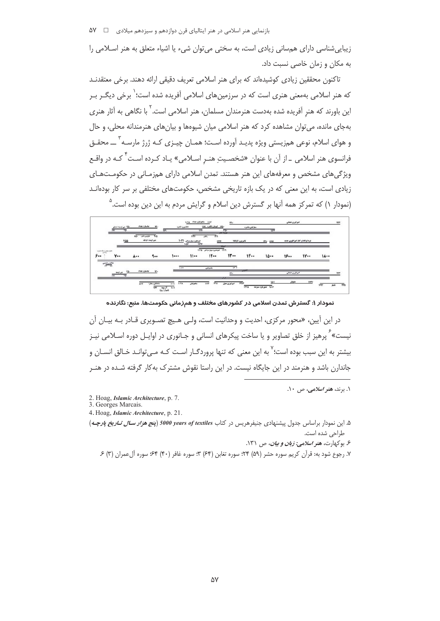زیبایی شناسی دارای همسانی زیادی است، به سختی می توان شیء یا اشیاء متعلق به هنر اسلامی را به مکان و زمان خاصی نسبت داد.

تاکنون محققین زیادی کوشیدهاند که برای هنر اسلامی تعریف دقیقی ارائه دهند. برخی معتقدنـد که هنر اسلامی بهمعنی هنری است که در سرزمینهای اسلامی آفریده شده است؛<sup>\</sup> برخی دیگـر بـر این باورند که هنر آفریده شده بهدست هنرمندان مسلمان، هنر اسلامی است.<sup>۲</sup> با نگاهی به آثار هنری بهجای مانده، می توان مشاهده کرد که هنر اسلامی میان شیوهها و بیانهای هنرمندانه محلی، و حال و هوای اسلام، نوعی همزیستی ویژه پدیـد آورده اسـت؛ همـان چیـزی کـه ژرژ مارسـه <sup>۳</sup> ـــ محقـق فرانسوی هنر اسلامی \_از آن با عنوان «شخصـیت هنـر اسـلامی» یـاد کـرده اسـت<sup>۴</sup> کـه در واقـع ویژگی های مشخص و معرفههای این هنر هستند. تمدن اسلامی دارای همزمـانی در حکومـتهـای زیادی است، به این معنی که در یک بازه تاریخی مشخص، حکومتهای مختلفی بر سر کار بودهانـد (نمودار ۱) که تمرکز همه آنها بر گسترش دین اسلام و گرایش مردم به این دین بوده است.  $^\circ$ 

|                         | -Yā بنی اومیدا دملق |            | عاسان: بغداد            | 49.                         | $\overline{\mathbf{u}}$           | فاشتون فاعره                   | 1197                    | tivit sublicidate that         | <b>IFS-</b>           | منفوكيان: فاهره       | 1279               | امراوری علمانی             |                                   |             |                |
|-------------------------|---------------------|------------|-------------------------|-----------------------------|-----------------------------------|--------------------------------|-------------------------|--------------------------------|-----------------------|-----------------------|--------------------|----------------------------|-----------------------------------|-------------|----------------|
|                         |                     | <b>Vaa</b> | 吓<br><b>INFORMATION</b> | $7-3$<br>بى اوسە: ترخە      |                                   | 1-71 July Jackson<br>$1 - 2.8$ | <b>TITY</b>             | 钾<br>1000                      | point is your         | <b>Wild Lawrence</b>  | <b>IT1- IT17</b>   |                            | نبرد کردادا و آغاز امیراطوری جدید |             |                |
| was the European<br>۶., | ٧.,                 |            | $A -$                   | $\ddotsc$                   | 1                                 |                                | 11                      | ITPS Group/web/main ITPS<br>11 | <b>Mark</b><br>11     | 11                    | 10                 | 19                         | IV                                | $1A -$      |                |
| خلافت رائيدين           | یی اوب              |            | عاسان: بغداد            |                             |                                   | $1 - VV$                       |                         | سلجوفيان                       | 17.7                  | التولى                |                    |                            |                                   |             | <b>COLLEGE</b> |
|                         | $\overline{F}$      |            |                         |                             |                                   |                                |                         |                                | $184 -$<br><b>UVA</b> |                       | 53-5               | اعترافوري تقتالي<br>مغوبان |                                   |             | 1577           |
|                         |                     |            | AYT                     | مانابان يغارا<br><b>UFF</b> | Beel.<br>11<br>ال ہوں<br>(شیرازی) | $1 - T A$                      | <b>IVET</b><br>سلحوفيان | <b>ITIA</b>                    | البرانوري بتول        | $+757$<br><b>IFYA</b> | جالة الموريان سرفد |                            | 1979                              | <b>IVST</b> | فاحار          |

نمودار ۱: گسترش تمدن اسلامی در کشورهای مختلف و همزمانی حکومتها. منبع: نگارنده

در این آیین، «محور مرکزی، احدیت و وحدانیت است، ولـی هـیچ تصـویری قـادر بـه بیـان آن نیست» ٔ یرهیز از خلق تصاویر و یا ساخت پیکرهای انسانی و جـانوری در اوایـل دوره اسـلامی نیـز بیشتر به این سبب بوده است؛<sup>۷</sup> به این معنی که تنها پروردگـار اسـت کـه مـی توانـد خـالق انســان و جاندارن باشد و هنرمند در این جایگاه نیست. در این راستا نقوش مشترک به کار گرفته شـده در هنـر

۰۱ برند، ه*نر اسلامی، ص ۱۰*.

2. Hoag, Islamic Architecture, p. 7.

3. Georges Marcais.

4. Hoag, Islamic Architecture, p. 21.

۵. این نمودار براساس جدول پیشنهادی جنیفرهریس در کتاب 5000 years of textiles (پنج هنر*ار سال تناریخ پارچـه*) طراحی شده است.

۶. بوکهارت، *هنر اسلامی: زبان و بیان*، ص ۱۳۱.

۷. رجوع شود به: قرآن کریم سوره حشر (۵۹) ۲۴؛ سوره تغابن (۶۴) ۳؛ سوره غافر (۴۰) ۶۴؛ سوره آلءمران (۳) ۶.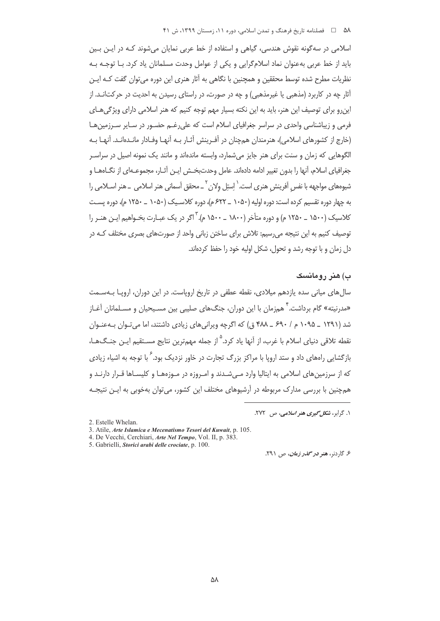اسلامی در سه گونه نقوش هندسی، گیاهی و استفاده از خط عربی نمایان می شوند کـه در ایــن بـین باید از خط عربی بهعنوان نماد اسلامگرایی و یکی از عوامل وحدت مسلمانان یاد کرد. بـا توجـه بـه نظریات مطرح شده توسط محققین و همچنین با نگاهی به آثار هنری این دوره می توان گفت کـه ایـن آثار چه در کاربرد (مذهبی یا غیرمذهبی) و چه در صورت، در راستای رسیدن به احدیت در حرکتانــد. از این و برای توصیف این هنر، باید به این نکته بسیار مهم توجه کنیم که هنر اسلامی دارای ویژگی هـای فرمی و زیباشناسی واحدی در سراسر جغرافیای اسلام است که علی رغـم حضـور در سـایر سـرزمین هـا (خارج از کشورهای اسلامی)، هنرمندان همچنان در آفـرینش آثـار بـه آنهـا وفـادار مانـدهانـد. آنهـا بـه الگوهایی که زمان و سنت برای هنر جایز می شمارد، وابسته ماندهاند و مانند یک نمونه اصیل در سراسـر جغرافیای اسلام، آنها را بدون تغییر ادامه دادهاند. عامل وحدتبخـش ایــن آثــار، مجموعــهای از نگــاههــا و شیومهای مواجهه با نفس آفرینش هنری است. ٰ اِستِل ولان ؑ \_ محقق اَسمانی هنر اسلامی \_ هنر اســلامی را به چهار دوره تقسیم کرده است: دوره اولیه (۱۰۵۰ \_ ۶۲۲ م)، دوره کلاسـیک (۱۰۵۰ \_ ۱۲۵۰ م)، دوره پسـت کلاسک (۱۵۰۰ \_ ۱۲۵۰ م) و دوره متأخر (۱۸۰۰ \_ ۱۵۰۰ م). <sup>۳</sup> اگر در یک عبارت بخیواهیم این هنیر را توصیف کنیم به این نتیجه می رسیم: تلاش برای ساختن زبانی واحد از صورتهای بصری مختلف کـه در دل زمان و با توجه رشد و تحول، شکل اولیه خود را حفظ کردهاند.

# ب) هنر رومانسک

سالهای میانی سده یازدهم میلادی، نقطه عطفی در تاریخ اروپاست. در این دوران، اروپـا بـهسـمت «مدرنیته» گام برداشت.' همزمان با این دوران، جنگهای صلیبی بین مسـیحیان و مسـلمانان آغـاز شد (۱۲۹۱ \_ ۱۰۹۵ م / ۶۹۰ \_ ۴۸۸ ق) که اگرچه ویرانی های زیادی داشتند، اما میتوان به عنوان نقطه تلاق<sub>،</sub> دنیای اسلام با غرب، از آنها یاد کرد.<sup>۵</sup> از جمله مهمترین نتایج مسـتقیم ایـن جنـگـهــا، بازگشایی راههای داد و ستد اروپا با مراکز بزرگ تجارت در خاور نزدیک بود. <sup>۶</sup> با توجه به اشیاء زیادی که از سرزمینهای اسلامی به ایتالیا وارد مے شـدند و امـروزه در مـوزههـا و کلیسـاها قـرار دارنـد و همچنین با بررسی مدارک مربوطه در اّرشیوهای مختلف این کشور، می توان بهخوبی به ایـن نتیجـه

۰۱. گرابر، *شکل گیری هنر اسلامی، ص* ۲۷۲.

5. Gabrielli, Storici arabi delle crociate, p. 100.

ع گاردنه، هنو در گ*انو زمان، ج*ل ۲۹۱.

<sup>2.</sup> Estelle Whelan.

<sup>3.</sup> Atile, Arte Islamica e Mecenatismo Tesori del Kuwait, p. 105.

<sup>4.</sup> De Vecchi, Cerchiari, Arte Nel Tempo, Vol. II, p. 383.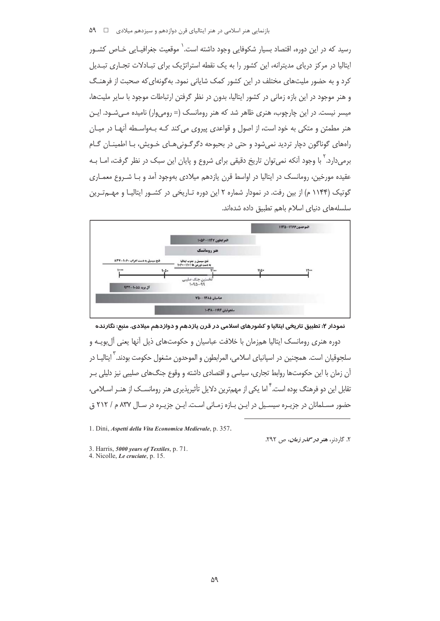رسید که در این دوره، اقتصاد بسیار شکوفایی وجود داشته است. ٰ موقعیت جغرافیـایی خـاص کشـور ایتالیا در مرکز دریای مدیترانه، این کشور را به یک نقطه استراتژیک برای تبـادلات تجـاری تبـدیل کرد و به حضور ملیتهای مختلف در این کشور کمک شایانی نمود. به گونهای که صحبت از فرهنـگ و هنر موجود در این بازه زمانی در کشور ایتالیا، بدون در نظر گرفتن ارتباطات موجود با سایر ملیتها، میسر نیست. در این چارچوب، هنری ظاهر شد که هنر رومانسک (= رومیوار) نامیده مـی شـود. ایـن هنر مطمئن و متکی به خود است، از اصول و قواعدی پیروی می کند کـه بـهواسـطه آنهـا در میـان راههای گوناگون دچار تردید نمی شود و حتی در بحبوحه دگرگـونی هـای خـویش، بـا اطمینـان گـام برمی دارد. <sup>۲</sup> با وجود آنکه نمی توان تاریخ دقیقی برای شروع و پایان این سبک در نظر گرفت، امـا بـه عقيده مورخين، رومانسک در ايتاليا در اواسط قرن يازدهم ميلادي بهوجود آمد و بـا شـروع معمـاري گوتیک (۱۱۴۴ م) از بین رفت. در نمودار شماره ۲ این دوره تـاریخی در کشــور ایتالیـا و مهــمتـرین سلسلههای دنیای اسلام باهم تطبیق داده شدهاند.



نمودار ۲: تطبیق تاریخی ایتالیا و کشورهای اسلامی در قرن یازدهم و دوازدهم میلادی. منبع: نگارنده

دوره هنری رومانسک ایتالیا همزمان با خلافت عباسیان و حکومتهای ذیل آنها یعنی آل بویـه و سلجوقیان است. همچنین در اسپانیای اسلامی، المرابطون و الموحدون مشغول حکومت بودند.<sup>۲</sup> ایتالیـا در آن زمان با این حکومتها روابط تجاری، سیاسی و اقتصادی داشته و وقوع جنگهای صلیبی نیز دلیلی بـر تقابل این دو فرهنگ بوده است. ٔ اما یکی از مهمترین دلایل تأثیرپذیری هنر رومانسـک از هنـر اسـلامی، حضور مسـلمانان در جزیـره سیسـیل در ایـن بـازه زمـانی اسـت. ایـن جزیـره در سـال ۸۳۷ م / ۲۱۲ ق

1. Dini, Aspetti della Vita Economica Medievale, p. 357.

۲. گاردنو، هنو *دو گلدو زمان، ص ۲۹۲.* 

3. Harris, 5000 years of Textiles, p. 71.

4. Nicolle, Le cruciate, p. 15.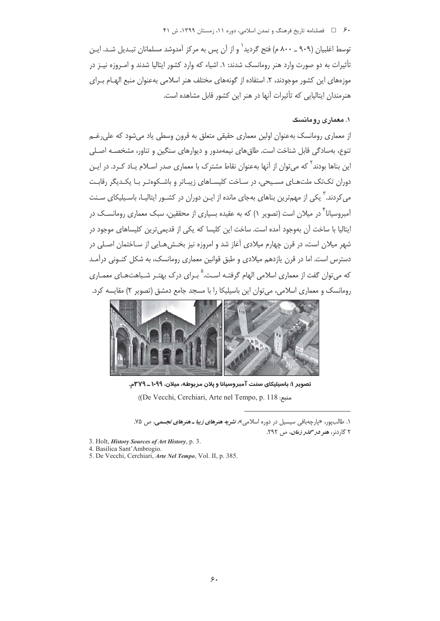## ۶۰ = هلسلنامه تاریخ فرهنگ و تمدن اسلامی، دوره ۱۱، زمستان ۱۳۹۹، ش ۴۱

توسط اغلبیان (۹۰۹ ــ ۸۰۰ م) فتح گردید $^{\prime}$  و از آن پس به مرکز آمدوشد مسلمانان تبـدیل شـد. ایـن تأثیرات به دو صورت وارد هنر رومانسک شدند: ۱. اشیاء که وارد کشور ایتالیا شدند و امـروزه نیـز در موزههای این کشور موجودند، ۲. استفاده از گونههای مختلف هنر اسلامی بهعنوان منبع الهیام پ)ی هنرمندان ایتالیایی که تأثیرات آنها در هنر این کشور قابل مشاهده است.

# ۱. معماری رومانسک

از معماری رومانسک بهعنوان اولین معماری حقیقی متعلق به قرون وسطی یاد میشود که علی رغـم تنوع، بهسادگی قابل شناخت است. طاق های نیمهمدور و دیوارهای سنگین و تناور، مشخصـه اصـلی این بناها بودند<sup>۲</sup> که می *ت*وان از آنها بهعنوان نقاط مشترک با معماری صدر اسـلام یـاد کـرد. در ایـن دوران تکتک ملتهای مسیحی، در ساخت کلیساهای زیباتر و باشکوهتر با یکدیگر رقابت می کردند. <sup>۱</sup> یکی از مهمترین بناهای بهجای مانده از ایـن دوران در کشـور ایتالیـا، باسـیلیکای سـنت آمبروسیانا<sup>۳</sup> در میلان است (تصویر ۱) که به عقیده بسیاری از محققین، سبک معماری رومانســک در ایتالیا با ساخت آن بهوجود آمده است. ساخت این کلیسا که یکی از قدیمیترین کلیساهای موجود در شهر میلان است، در قرن چهارم میلادی آغاز شد و امروزه نیز بخشهایی از ساختمان اصلی در دسترس است. اما در قرن یازدهم میلادی و طبق قوانین معماری رومانسک، به شکل کنـونی درآمـد که میتوان گفت از معماری اسلامی الهام گرفتـه اسـت.<sup>۵</sup> بــرای درک بهتــر شـباهتهــای معمــاری رومانسک و معماری اسلامی، می توان این باسیلیکا را با مسجد جامع دمشق (تصویر ۲) مقایسه کرد.



تصویر ۱: باسیلیکای سنت آمبروسیانا و پلان مربوطه، میلان، ۱۰۹۹ ـ ۳۷۹م. ((De Vecchi, Cerchiari, Arte nel Tempo, p. 118;

۱. طالب یور، «یارچهبافی سیسیل در دوره اسلامی»، *نشریه هنرهای زیبا ـ هنرهای تجسمی، ص ۷*۵. ۲ گاردنو، هنو در محم*در زمان، ص ۲۹۲.* 

- 3. Holt, *History Sources of Art History*, p. 3.
- 4. Basilica Sant'Ambrogio.
- 5. De Vecchi, Cerchiari, *Arte Nel Tempo*, Vol. II, p. 385.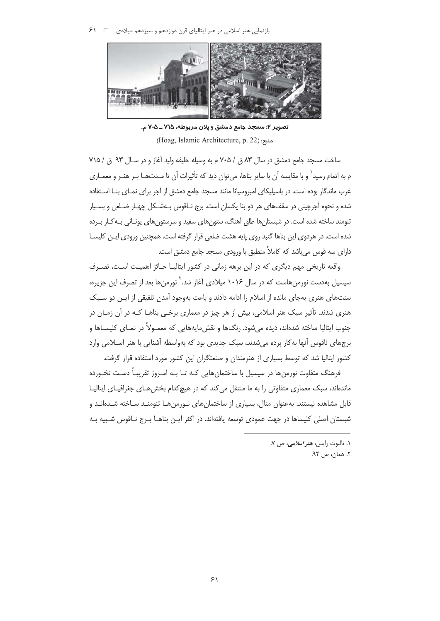$\mathcal{F}$ بازنمایی هنر اسلامی در هنر ایتالیای قرن دوازدهم و سیزدهم میلادی  $\Box$   $\mathcal{F}$ 



تصوير ٢: مسجد جامع دمشق و پلان مربوطه، ٧١٥ ـ ٢٠٥ م. (Hoag, Islamic Architecture, p. 22):منبع:

ساخت مسجد جامع دمشق در سال ٨٣ ق / ٢٠٥ م به وسيله خليفه وليد آغاز و در سـال ٩٣ ق / ٧١٥ م به اتمام رسید` و با مقایسه آن با سایر بناها، می توان دید که تأثیرات آن تا مـدتهـا بـر هنـر و معمـاری غرب ماندگار بوده است. در باسیلیکای امبروسیانا مانند مسجد جامع دمشق از آجر برای نمـای بنــا اسـتفاده شده و نحوه آجرچینی در سقفهای هر دو بنا یکسان است. برج نـاقوس بـهشـکل چهـار ضـلعی و بسـیار تنومند ساخته شده است. در شبستان ها طاق آهنگ، ستون های سفید و سرستون های یونـانی بـه کـار بـرده شده است. در هردوی این بناها گنبد روی پایه هشت ضلعی قرار گرفته است. همچنین ورودی ایـن کلیسـا دارای سه قوس می باشد که کاملاً منطبق با ورودی مسجد جامع دمشق است.

واقعه تاریخی مهم دیگری که در این برهه زمانی در کشور ایتالیـا حـائز اهمیـت اسـت، تصـرف سیسیل بهدست نورمنهاست که در سال ۱۰۱۶ میلادی آغاز شد.<sup>۲</sup> نورمنها بعد از تصرف این جزیره، سنتهای هنری بهجای مانده از اسلام را ادامه دادند و باعث بهوجود آمدن تلفیقی از ایـن دو سـبک هنری شدند. تأثیر سبک هنر اسلامی، بیش از هر چیز در معماری برخبی بناهـا کـه در آن زمـان در جنوب ايتاليا ساخته شدهاند، ديده مي شود. رنگ@ا و نقش مايههايي كه معمـولاً در نمـاي كليسـاها و برجهای ناقوس آنها به کار برده می شدند، سبک جدیدی بود که بهواسطه آشنایی با هنر اسـلامی وارد کشور ایتالیا شد که توسط بسیاری از هنرمندان و صنعتگران این کشور مورد استفاده قرار گرفت.

فرهنگ متفاوت نورمنها در سیسیل با ساختمانهایی کـه تـا بـه امـروز تقریبـاً دسـت نخـورده ماندهاند، سبک معماری متفاوتی را به ما منتقل می کند که در هیچ کدام بخش هـای جغرافیـای ایتالیـا قابل مشاهده نیستند. بهعنوان مثال، بسیاری از ساختمانهای نورمن هـا تنومنـد سـاخته شـدهانـد و شبستان اصلی کلیساها در جهت عمودی توسعه یافتهاند. در اکثر ایـن بناهــا بـرج نــاقوس شـبیه بــه

۰۱. تالبوت رايس، هنر *اسلامي، ص* ۷.

٢. همان، ص ٩٢.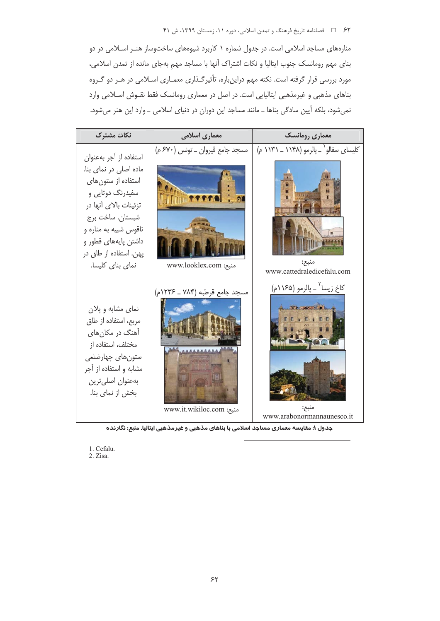۶۲ = فصلنامه تاریخ فرهنگ و تمدن اسلامی، دوره ۱۱، زمستان ۱۳۹۹، ش ۴۱

منارههای مساجد اسلامی است. در جدول شماره ۱ کاربرد شیوههای ساختوساز هنـر اسـلامی در دو بنای مهم رومانسک جنوب ایتالیا و نکات اشتراک آنها با مساجد مهم بهجای مانده از تمدن اسلامی، مورد بررسی قرار گرفته است. نکته مهم دراینباره، تأثیرگذاری معمـاری اسـلامی در هـر دو گـروه بناهای مذهبی و غیرمذهبی ایتالیایی است. در اصل در معماری رومانسک فقط نقـوش اسـلامی وارد نمی شود، بلکه آیین سادگی بناها ــ مانند مساجد این دوران در دنیای اسلامی ــ وارد این هنر می شود.



جدول ۱: مقایسه معماری مساجد اسلامی با بناهای مذهبی و غیرمذهبی ایتالیا. منبع: نگارنده

1. Cefalu.

2. Zisa.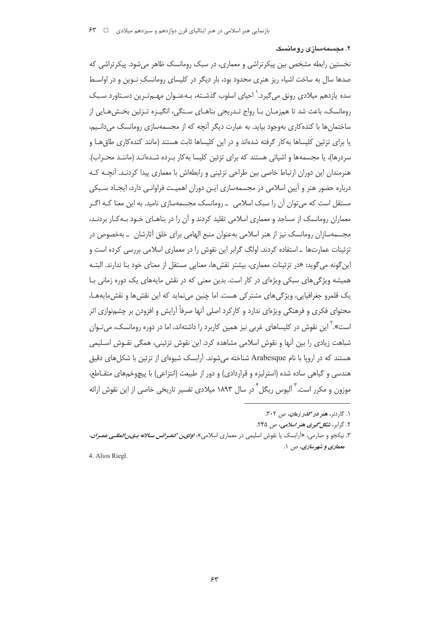۲. مجسمهسازی رومانسک

نخستین رابطه مشخص بین پیکرتراشی و معماری، در سبک رومانسک ظاهر می شود. پیکرتراشی که صدها سال به ساخت اشیاء ریز هنری محدود بود، بار دیگر در کلیسای رومانسک نـوین و در اواسـط سده یازدهم میلادی رونق می گیرد. ٰ احیای اسلوب گذشـته، بـهعنـوان مهـمتـرین دسـتاورد سـبک رومانسک، باعث شد تا همزمـان بـا رواج تـدريجي بناهـاي سـنگي، انگيـزه تـزئين بخـش@ـايي از ساختمان ها با کنده کاری بهوجود بیاید. به عبارت دیگر آنچه که از مجسمهسازی رومانسک می دانـیم، یا برای تزئین کلیساها به کار گرفته شدهاند و در این کلیساها ثابت هستند (مانند کندهکاری طاق هـا و سردرها)، یا مجسمهها و اشیائی هستند که برای تزئین کلیسا بهکار بـرده شـدهانـد (ماننـد محـراب). هنرمندان این دوران ارتباط خاصی بین طراحی تزئینی و رابطهاش با معماری پیدا کردنـد. آنچــه کــه درباره حضور هنر و آیین اسلامی در مجسمهسازی ایـن دوران اهمیـت فراوانـی دارد، ایجـاد سـبکی مستقل است که میتوان آن را سبک اسلامی \_ رومانسک مجسمهسازی نامید. به این معنا کـه اگـر معماران رومانسک از مساجد و معماری اسلامی تقلید کردند و آن را در بناهـای خـود بـهکـار بردنـد، مجسمهسازان رومانسک نیز از هنر اسلامی بهعنوان منبع الهامی برای خلق آثارشان ـ بهخصوص در تزئینات عمارتھا ۔استفادہ کردند. اولگ گرابر این نقوش را در معماری اسلامی بررسی کردہ است و این گونه میگوید: «در تزئینات معماری، بیشتر نقش ها، معنایی مستقل از معنای خود بنا ندارند. البتـه همیشه ویژگی های سبکی ویژهای در کار است. بدین معنی که در نقش مایههای یک دوره زمانی بـا يک قلمرو جغرافيايي، ويژگي هاي مشتر کي هست. اما چنين مي نمايد که اين نقش ها و نقش مايههـا، محتوای فکری و فرهنگی ویژهای ندارد و کارکرد اصلی آنها صرفاً آرایش و افزودن بر چشمنوازی اثر است».<sup>۲</sup> این نقوش در کلیساهای غربی نیز همین کاربرد را داشتهاند، اما در دوره رومانسک، می *ت*ـوان شباهت زیادی را بین آنها و نقوش اسلامی مشاهده کرد. این نقوش تزئینی، همگی نقـوش اسـلیمی هستند که در اروپا با نام Arabesque شناخته می شوند. آرابسک شیوهای از تزئین با شکل های دقیق هندسی و گیاهی ساده شده (استرلیزه و قراردادی) و دور از طبیعت (انتزاعی) با پیچوخمهای متقـاطع، موزون و مکرر است. ؓ اَلیوس ریگل ؓ در سال ۱۸۹۳ میلادی تفسیر تاریخی خاصی از این نقوش ارائه

۳. نیکجو و صارمی، «آرابسک یا نقوش اسلیمی در معماری اسلامی»، *اولی ن کنف رانس سـالانه بـی: المللــی عمـران،* معماري و شهرسازي، ص ١.

4. Alios Riegl.

۱. گاردنر، هنو *دو گذو زمان*، ص ۳۰۲.

۲. گرابر، *شکل گیری هنر اسلامی، ص ۲۴۵.*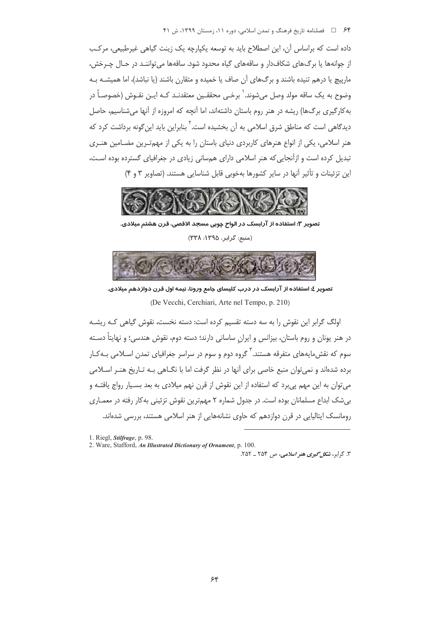۶۴ = حاضلنامه تاریخ فرهنگ و تمدن اسلامی، دوره ۱۱، زمستان ۱۳۹۹، ش ۴۱

داده است که براساس آن، این اصطلاح باید به توسعه یکپارچه یک زینت گیاهی غیرطبیعی، مرکب از جوانهها یا برگ&ای شکافدار و ساقههای گیاه محدود شود. ساقهها می تواننـد در حـال چـرخش، مارپیچ یا درهم تنیده باشند و برگ@ای آن صاف یا خمیده و متقارن باشند (یا نباشد)، اما همیشــه بــه وضوح به يک ساقه مولد وصل ميشوند. ٰ برخـي محققـين معتقدنـد کـه ايـن نقـوش (خصوصـاً در به کارگیری برگ@ا) ریشه در هنر روم باستان داشتهاند، اما آنچه که امروزه از آنها می شناسیم، حاصل دیدگاهی است که مناطق شرق اسلامی به آن بخشیده است. ٔ بنابراین باید این گونه برداشت کرد که هنر اسلامی، یکی از انواع هنرهای کاربردی دنیای باستان را به یکی از مهمترین مضـامین هنـری تبدیل کرده است و ازآنجایی که هنر اسلامی دارای همسانی زیادی در جغرافیای گسترده بوده است، این تزئینات و تأثیر آنها در سایر کشورها بهخوبی قابل شناسایی هستند. (تصاویر ۳ و ۴)



تصویر ۳: استفاده از آرابسک در الواح چوبی مسجد الاقصی، قرن هشتم میلادی. (منبع: گرابر، ١٣٩٥: ٣٣٨)



تصویر ٤: استفاده از آرابسک در درب کلیسای جامع ورونا، نیمه اول قرن دوازدهم میلادی. (De Vecchi, Cerchiari, Arte nel Tempo, p. 210)

اولگ گرایر این نقوش را به سه دسته تقسیم کرده است: دسته نخست، نقوش گیاهی کـه ریشـه در هنر یونان و روم باستان، بیزانس و ایران ساسانی دارند؛ دسته دوم، نقوش هندسی؛ و نهایتاً دسـته سوم که نقش مایههای متفرقه هستند. <sup>۳</sup> گروه دوم و سوم در سراسر جغرافیای تمدن اسـلام*ی* بـهکـار برده شدهاند و نمی توان منبع خاصی برای آنها در نظر گرفت اما با نگــاهی بـه تــاریخ هنــر اســلامی می توان به این مهم یی برد که استفاده از این نقوش از قرن نهم میلادی به بعد بسـیار رواج یافتـه و بے شک ابداع مسلمانان بودہ است. در جدول شمارہ ۲ مهمترین نقوش تزئینی به کار رفته در معمـاری رومانسک ایتالیایی در قن دوازدهم که جاوی نشانههایی از هنر اسلامی هستند، بررسی شدهاند.

۳. گرابر، *شکل گیری هنر اسلامی*، ص ۲۵۴ ـ ۲۵۲.

<sup>1.</sup> Riegl, Stilfrage, p. 98.

<sup>2.</sup> Ware, Stafford, An Illustrated Dictionary of Ornament, p. 100.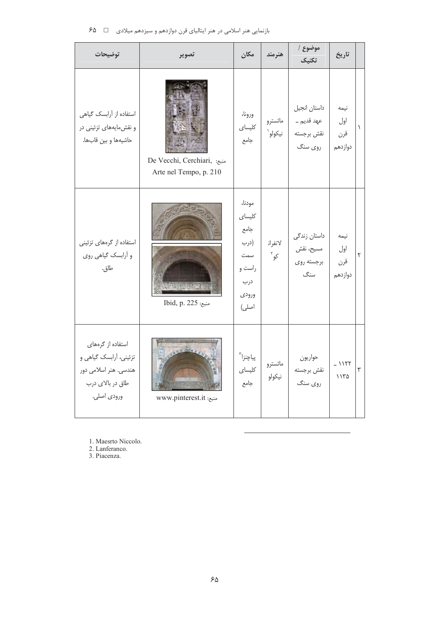| توضيحات                                                                                                 | تصوير                                                 | مكان                                                                       | هنرمند             | موضوع  <br>تكنيك                                     | تاريخ                         |           |
|---------------------------------------------------------------------------------------------------------|-------------------------------------------------------|----------------------------------------------------------------------------|--------------------|------------------------------------------------------|-------------------------------|-----------|
| استفاده از آرابسک گیاهی<br>و نقش مایههای تزئینی در<br>حاشيهها وبين قابها.                               | De Vecchi, Cerchiari, منبع:<br>Arte nel Tempo, p. 210 | ورونا،<br>كليساى<br>جامع                                                   | مائسترو<br>نيكولو` | داستان انجيل<br>عهد قديم ــ<br>نقش برجسته<br>روي سنگ | نيمه<br>اول<br>قرن<br>دوازدهم | $\lambda$ |
| استفاده از گرههای تزئینی<br>و أرابسك گياهي روي<br>طاق.                                                  | Ibid, p. 225 منبع:                                    | مودنا،<br>كليساى<br>جامع<br>(درب<br>سمت<br>راست و<br>درب<br>ورودي<br>اصلى) | لانفران<br>کو ً    | داستان زندگی<br>مسيح، نقش<br>برجسته روى<br>سنگ       | نيمه<br>اول<br>قرن<br>دوازدهم | ۲         |
| استفاده از گرههای<br>تزئینی، آرابسک گیاهی و<br>هندسی. هنر اسلامی دور<br>طاق در بالای درب<br>ورودي اصلي. | www.pinterest.it منبع:                                | پياچنزا ّ<br>كليساى<br>جامع                                                | مائسترو<br>نيكولو  | حواريون<br>نقش برجسته<br>روي سنگ                     | $-1157$<br>۱۱۳۵               | ٣         |

بازنمایی هنر اسلامی در هنر ایتالیای قرن دوازدهم و سیزدهم میلادی □ ۶۵

1. Maesrto Niccolo.<br>2. Lanferanco.

3. Piacenza.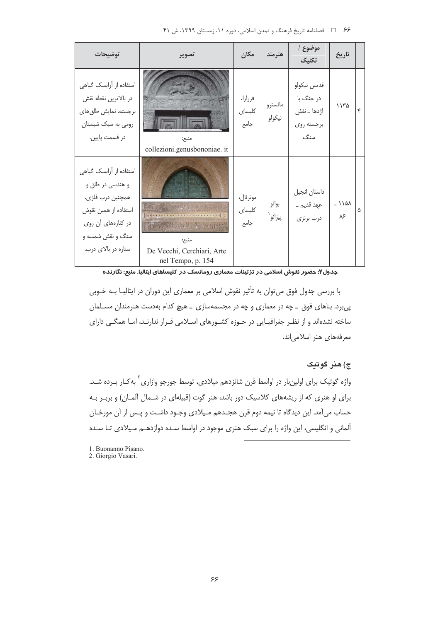| ۶۶ = ل فصلنامه تاريخ فرهنگ و تمدن اسلامي، دوره ١١، زمستان ١٣٩٩، ش ۴۱ |  |  |  |  |  |  |  |
|----------------------------------------------------------------------|--|--|--|--|--|--|--|
|----------------------------------------------------------------------|--|--|--|--|--|--|--|

| توضيحات                                                                                                                                                  | تصوير                                                    | مكان                       | هنرمند            | موضوع  <br>تكنيك                                             | تاريخ         |   |
|----------------------------------------------------------------------------------------------------------------------------------------------------------|----------------------------------------------------------|----------------------------|-------------------|--------------------------------------------------------------|---------------|---|
| استفاده از آرابسک گیاهی<br>در بالاترين نقطه نقش<br>برجسته. نمایش طاق های<br>رومی به سبک شبستان<br>در قسمت پایین.                                         | منبع:<br>collezioni.genusbononiae. it                    | فررارا،<br>كليساى<br>جامع  | مائسترو<br>نيكولو | قديس نيكولو<br>در جنگ با<br>اژدها _ نقش<br>برجسته روى<br>سنگ | ۱۱۳۵          | ۴ |
| استفاده از أرابسك گياهي<br>و هندسي در طاق و<br>همچنین درب فلزی.<br>استفاده از همین نقوش<br>در کنارههای آن روی<br>سنگ و نقش شمسه و<br>ستاره در بالای درب. | منبح:<br>De Vecchi, Cerchiari, Arte<br>nel Tempo, p. 154 | مونرئال،<br>كليساي<br>جامع | بوانو<br>پيزانو`  | داستان انجيل<br>عهد قديم ــ<br>درب برنزى                     | $-110A$<br>۸۶ | ۵ |

جدول۲: حضور نقوش اسلامی در تزئینات معماری رومانسک در کلیساهای ایتالیا. منبع: نگارنده

با بررسی جدول فوق میتوان به تأثیر نقوش اسلامی بر معماری این دوران در ایتالیـا بـه خـوبی پی برد. بناهای فوق \_ چه در معماری و چه در مجسمهسازی \_ هیچ کدام بهدست هنرمندان مسـلمان ساخته نشدهاند و از نظـر جغرافیـایی در حـوزه کشـورهای اسـلامی قـرار ندارنـد، امـا همگـی دارای معرفههای هنر اسلامی اند.

### ج) هنر گوتيک

واژه گوتیک برای اولینبار در اواسط قرن شانزدهم میلادی، توسط جورجو وازاری<sup>۲</sup> بهکـار بـرده شـد. برای او هنری که از ریشههای کلاسیک دور باشد، هنر گوت (قبیلهای در شـمال آلمـان) و بربـر بـه حساب میآمد. این دیدگاه تا نیمه دوم قرن هجـدهم مـیلادی وجـود داشـت و پـس از آن مورخـان آلمانی و انگلیسی، این واژه را برای سبک هنری موجود در اواسط سـده دوازدهــم مـیلادی تـا سـده

1. Buonanno Pisano. 2. Giorgio Vasari.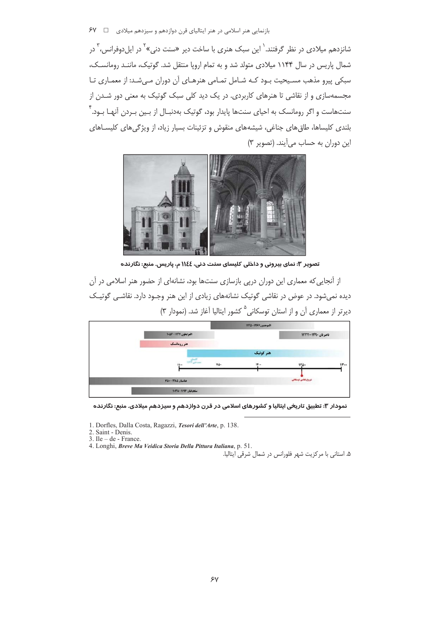شانزدهم میلادی در نظر گرفتند.<sup>\</sup> این سبک هنری با ساخت دیر «سنت دنی»<sup>۲</sup> در ایل دوفرانس، <sup>۳</sup> در شمال پاریس در سال ۱۱۴۴ میلادی متولد شد و به تمام اروپا منتقل شد. گوتیک، ماننـد رومانسـک، سبکی پیرو مذهب مسیحیت بـود کـه شـامل تمـامی هنرهـای آن دوران مـی شـد: از معمـاری تـا .<br>مجسمهسازی و از نقاشی تا هنرهای کاربردی. در یک دید کلی سبک گوتیک به معنی دور شـدن از سنتهاست و اگر رومانسک به احیای سنتها پایدار بود، گوتیک بهدنبـال از بـین بـردن آنهـا بـود. ٔ بلندی کلیساها، طاق های جناغی، شیشههای منقوش و تزئینات بسیار زیاد، از ویژگی های کلیسـاهای این دوران به حساب می آیند. (تصویر ۳)



تصویر ۳: نمای بیرونی و داخلی کلیسای سنت دنی، ١١٤٤ م، پاریس. منبع: نگارنده

از آنجایی که معماری این دوران دریی بازسازی سنتها بود، نشانهای از حضور هنر اسلامی در آن دیده نمی شود. در عوض در نقاشی گوتیک نشانههای زیادی از این هنر وجـود دارد. نقاشـی گوتیـک دیرتر از معماری آن و از استان توسکانی<sup>۵</sup> کشور ایتالیا آغاز شد. (نمودار ۳)



نمودار ۳: تطبیق تاریخی ایتالیا و کشورهای اسلامی در قرن دوازدهم و سیزدهم میلادی. منبع: نگارنده

1. Dorfles, Dalla Costa, Ragazzi, Tesori dell'Arte, p. 138.

2. Saint - Denis.

 $3.$  Ile – de - France.

4. Longhi, Breve Ma Veidica Storia Della Pittura Italiana, p. 51.

۵. استانی با مرکزیت شهر فلورانس در شمال شرقی ایتالیا.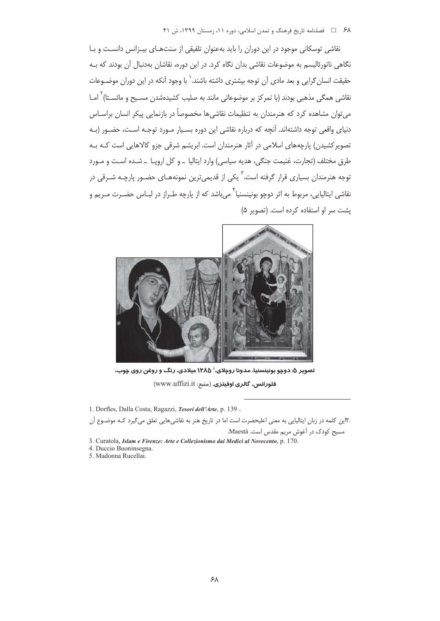نقاشی توسکانی موجود در این دوران را باید بهعنوان تلفیقی از سنتهـای بیـزانس دانسـت و بـا نگاهی ناتورئالیسم به موضوعات نقاشی بدان نگاه کرد. در این دوره، نقاشان بهدنبال آن بودند که بـه حقیقت انسان گرایی و بعد مادی آن توجه بیشتری داشته باشند.` با وجود آنکه در این دوران موضـوعات نقاشی همگی مذهبی بودند (با تمرکز بر موضوعاتی مانند به صلیب کشیدهشدن مسـیح و مائسـتا) <sup>۲</sup> امــا می توان مشاهده کرد که هنرمندان به تنظیمات نقاشی ها مخصوصاً در بازنمایی پیکر انسان براسـاس دنیای واقعی توجه داشتهاند. آنچه که درباره نقاشی این دوره بسـیار مـورد توجـه اسـت، حضـور (بـه تصویر کشیدن) پارچههای اسلامی در آثار هنرمندان است. ابریشم شرقی جزو کالاهایی است کـه بـه طرق مختلف (تجارت، غنيمت جنگي، هديه سياسي) وارد ايتاليا \_و كل اروپـا \_ شـده اسـت و مـورد توجه هنرمندان بسیاری قرار گرفته است.<sup>۳</sup> یکی از قدیمیترین نمونههـای حضـور پارچـه شـرقی در نقاشی ایتالیایی، مربوط به اثر دوچو بونینسنیا ٔ می،باشد که از پارچه طـراز در لبـاس حضـرت مـریم و يشت سر او استفاده كرده است. (تصوير ۵)



تصویر ۵: دوچو بونینسنیا، مدونا روچلای، $\delta$ ۱۲۸۵ میلادی، رنگ و روغن روی چوب، فلورانس، گالري اوفيتزي. (منبع: www.uffizi.it)

1. Dorfles, Dalla Costa, Ragazzi, Tesori dell'Arte, p. 139.

.۲این کلمه در زبان ایتالیایی به معنی اعلیحضرت است اما در تاریخ هنر به نقاشی هایی تعلق می گیرد کـه موضـوع آن مسیح کودک در آغوش مریم مقدس است. Maestà.

3. Curatola, Islam e Firenze: Arte e Collezionismo dai Medici al Novecento, p. 170.

4. Duccio Buoninsegna.

5. Madonna Rucellai.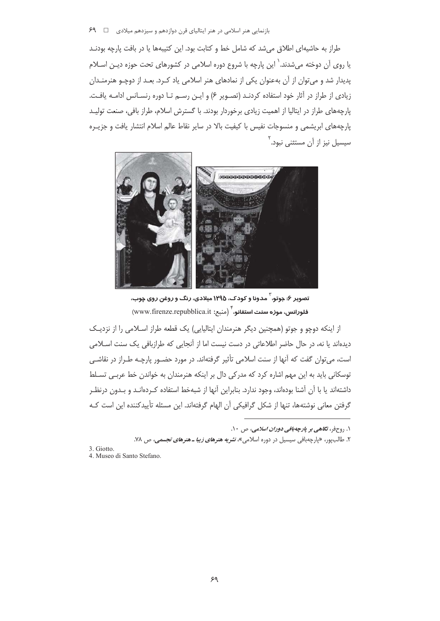طراز به حاشیهای اطلاق می شد که شامل خط و کتابت بود. این کتیبهها یا در بافت پارچه بودنـد یا روی آن دوخته می شدند.<sup>\</sup> این پارچه با شروع دوره اسلامی در کشورهای تحت حوزه دیـن اســلام یدیدار شد و می توان از آن بهعنوان یکی از نمادهای هنر اسلامی یاد کـرد. بعـد از دوچـو هنرمنـدان زیادی از طراز در آثار خود استفاده کردنـد (تصـویر ۶) و ایـن رسـم تـا دوره رنسـانس ادامـه یافـت. یارچههای طراز در ایتالیا از اهمیت زیادی برخوردار بودند. با گسترش اسلام، طراز بافی، صنعت تولیـد پارچههای ابریشمی و منسوجات نفیس با کیفیت بالا در سایر نقاط عالم اسلام انتشار یافت و جزیـره سیسیل نیز از آن مستثنی نبود.<sup>۲</sup>



تصویر ۶: جوتو، ٰ مدونا و کودک، ۱۲۹۵ میلادی، رنگ و روغن روی چوب، فلورانس، موزه سنت استفانو، `` (منبع: www.firenze.repubblica.it)

از اینکه دوچو و جوتو (همچنین دیگر هنرمندان ایتالیایی) یک قطعه طراز اسـلامی را از نزدیـک دیدهاند یا نه، در حال حاضر اطلاعاتی در دست نیست اما از آنجایی که طرازبافی یک سنت اسلامی است، می توان گفت که آنها از سنت اسلامی تأثیر گرفتهاند. در مورد حضـور پارچـه طـراز در نقاشـی توسكاني بايد به اين مهم اشاره كرد كه مدركي دال بر اينكه هنرمندان به خواندن خط عربي تسلط داشتهاند یا با آن آشنا بودهاند، وجود ندارد. بنابراین آنها از شبهخط استفاده کـردهانـد و بـدون درنظـر گرفتن معانی نوشتهها، تنها از شکل گرافیکی آن الهام گرفتهاند. این مسئله تأییدکننده این است کـه

- 3 Giotto
- 4. Museo di Santo Stefano.

۱. <sub>(و</sub>ح فر، ت*گاهي بر يارچه بافي دوران اسلامي،* ص ۱۰.

۲. طالبپور، «پارچهبافی سیسیل در دوره اسلامی»، *نشریه هنرهای زیبا ـ هنرهای تجسمی*، ص ۷۸.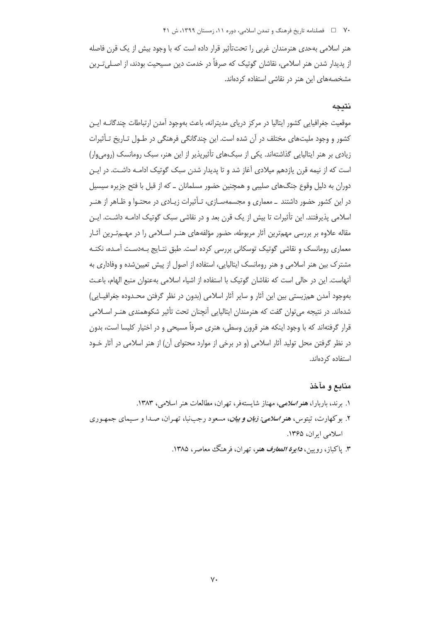#### ۷۰٪ □ فصلنامه تاريخ فرهنگ و تمدن اسلامي، دوره ۱۱، زمستان ۱۳۹۹، ش ۴۱

هنر اسلامی بهحدی هنرمندان غربی را تحتتأثیر قرار داده است که با وجود بیش از یک قرن فاصله از پدیدار شدن هنر اسلامی، نقاشان گوتیک که صرفاً در خدمت دین مسیحیت بودند، از اصـلیتـرین مشخصههای این هنر در نقاشی استفاده کردهاند.

## نتيجه

موقعیت جغرافیایی کشور ایتالیا در مرکز دریای مدیترانه، باعث بهوجود آمدن ارتباطات چندگانــه ایــن کشور و وجود ملیتهای مختلف در آن شده است. این چندگانگی فرهنگی در طـول تـاریخ تـأثیرات زیادی بر هنر ایتالیایی گذاشتهاند. یکی از سبکهای تأثیریذیر از این هنر، سبک رومانسک (رومیوار) است که از نیمه قرن یازدهم میلادی آغاز شد و تا پدیدار شدن سبک گوتیک ادامـه داشـت. در ایـن دوران به دلیل وقوع جنگهای صلیبی و همچنین حضور مسلمانان \_ که از قبل با فتح جزیره سیسیل در این کشور حضور داشتند \_ معماری و مجسمهسـازی، تـأثیرات زیـادی در محتـوا و ظـاهر از هنـر اسلامی پذیرفتند. این تأثیرات تا بیش از یک قرن بعد و در نقاشی سبک گوتیک ادامـه داشـت. ایـن مقاله علاوه بر بررسی مهمترین آثار مربوطه، حضور مؤلفههای هنـر اسـلامی را در مهــمتـرین آثـار معماری رومانسک و نقاشی گوتیک توسکانی بررسی کرده است. طبق نتـایج بـهدسـت آمـده، نکتـه مشترک بین هنر اسلامی و هنر رومانسک ایتالیایی، استفاده از اصول از پیش تعیین شده و وفاداری به آنهاست. این در حالی است که نقاشان گوتیک با استفاده از اشیاء اسلامی بهعنوان منبع الهام، باعـث بهوجود آمدن همزیستی بین این آثار و سایر آثار اسلامی (بدون در نظر گرفتن محـدوده جغرافیـایی) شدهاند. در نتیجه می توان گفت که هنرمندان ایتالیایی آنچنان تحت تأثیر شکوهمندی هنـر اسـلامی قرار گرفتهاند که با وجود اینکه هنر قرون وسطی، هنری صرفاً مسیحی و در اختیار کلیسا است، بدون در نظر گرفتن محل تولید آثار اسلامی (و در برخی از موارد محتوای آن) از هنر اسلامی در آثار خـود استفاده کردهاند.

# منابع و مآخذ

۱. برند، باربارا، هنر اسلامی، مهناز شایستهفر، تهران، مطالعات هنر اسلامی، ۱۳۸۳.

- ۲. بوکهارت، تیتوس، *هنر اسلامی: زبان و بیان*، مسعود رجبنبا، تهـران، صـدا و سـیمای جمهـوری اسلامی ایران، ۱۳۶۵.
	- ۳. پاکباز، رویین، *دایوة المعارف هنر*، تهران، فرهنگ معاصر، ۱۳۸۵.